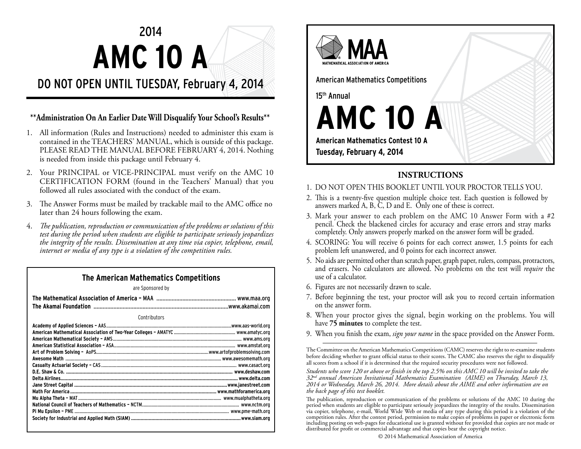# 2014 **AMC 10 A**

# DO NOT OPEN UNTIL TUESDAY, February 4, 2014

### **\*\*Administration On An Earlier Date Will Disqualify Your School's Results\*\***

- 1. All information (Rules and Instructions) needed to administer this exam is contained in the TEACHERS' MANUAL, which is outside of this package. PLEASE READ THE MANUAL BEFORE FEBRUARY 4, 2014. Nothing is needed from inside this package until February 4.
- 2. Your PRINCIPAL or VICE-PRINCIPAL must verify on the AMC 10 CERTIFICATION FORM (found in the Teachers' Manual) that you followed all rules associated with the conduct of the exam.
- 3. The Answer Forms must be mailed by trackable mail to the AMC office no later than 24 hours following the exam.
- 4. *The publication, reproduction or communication of the problems or solutions of this test during the period when students are eligible to participate seriously jeopardizes the integrity of the results. Dissemination at any time via copier, telephone, email, internet or media of any type is a violation of the competition rules.*

## **The American Mathematics Competitions**

are Sponsored by

**Contributors** 



# **INSTRUCTIONS**

- 1. DO NOT OPEN THIS BOOKLET UNTIL YOUR PROCTOR TELLS YOU.
- 2. This is a twenty-five question multiple choice test. Each question is followed by answers marked A, B, C, D and E. Only one of these is correct.
- 3. Mark your answer to each problem on the AMC 10 Answer Form with a  $#2$  pencil. Check the blackened circles for accuracy and erase errors and stray marks completely. Only answers properly marked on the answer form will be graded.
- 4. SCORING: You will receive 6 points for each correct answer, 1.5 points for each problem left unanswered, and 0 points for each incorrect answer.
- 5. No aids are permitted other than scratch paper, graph paper, rulers, compass, protractors, and erasers. No calculators are allowed. No problems on the test will *require* the use of a calculator.
- 6. Figures are not necessarily drawn to scale.
- 7. Before beginning the test, your proctor will ask you to record certain information on the answer form.
- 8. When your proctor gives the signal, begin working on the problems. You will have **75 minutes** to complete the test.
- 9. When you finish the exam, *sign your name* in the space provided on the Answer Form.

The Committee on the American Mathematics Competitions (CAMC) reserves the right to re-examine students before deciding whether to grant official status to their scores. The CAMC also reserves the right to disqualify all scores from a school if it is determined that the required security procedures were not followed.

*Students who score 120 or above or finish in the top 2.5% on this AMC 10 will be invited to take the 32nd annual American Invitational Mathematics Examination (AIME) on Thursday, March 13, 2014 or Wednesday, March 26, 2014. More details about the AIME and other information are on the back page of this test booklet.*

The publication, reproduction or communication of the problems or solutions of the AMC 10 during the period when students are eligible to participate seriously jeopardizes the integrity of the results. Dissemination via copier, telephone, e-mail, World Wide Web or media of any type during this period is a violation of the competition rules. After the contest period, permission to make copies of problems in paper or electronic form including posting on web-pages for educational use is granted without fee provided that copies are not made or distributed for profit or commercial advantage and that copies bear the copyright notice.

© 2014 Mathematical Association of America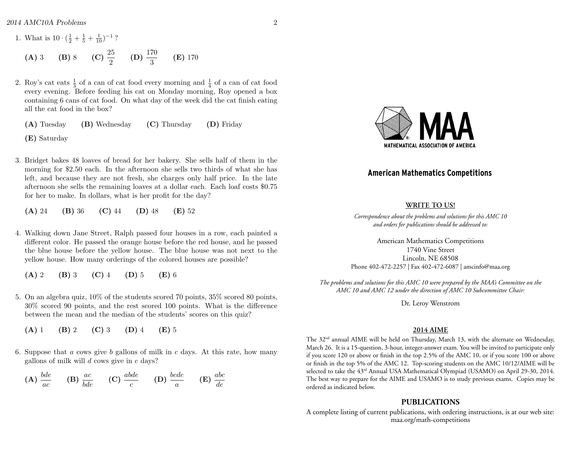*2014 AMC10A Problems* 2

1. What is  $10 \cdot (\frac{1}{2} + \frac{1}{5} + \frac{1}{10})^{-1}$ ? (A) 3 (B) 8 (C)  $\frac{25}{2}$  (D)  $\frac{170}{3}$  $(E)$  170

- 2. Roy's cat eats  $\frac{1}{3}$  of a can of cat food every morning and  $\frac{1}{4}$  of a can of cat food every evening. Before feeding his cat on Monday morning, Roy opened a box containing 6 cans of cat food. On what day of the week did the cat finish eating all the cat food in the box?
	- (A) Tuesday (B) Wednesday (C) Thursday (D) Friday

(E) Saturday

3. Bridget bakes 48 loaves of bread for her bakery. She sells half of them in the morning for \$2*.*50 each. In the afternoon she sells two thirds of what she has left, and because they are not fresh, she charges only half price. In the late afternoon she sells the remaining loaves at a dollar each. Each loaf costs \$0*.*75 for her to make. In dollars, what is her profit for the day?

(A) 24 (B) 36 (C) 44 (D) 48 (E) 52

4. Walking down Jane Street, Ralph passed four houses in a row, each painted a different color. He passed the orange house before the red house, and he passed the blue house before the yellow house. The blue house was not next to the yellow house. How many orderings of the colored houses are possible?

(A) 2 (B) 3 (C) 4 (D) 5 (E) 6

- 5. On an algebra quiz, 10% of the students scored 70 points, 35% scored 80 points, 30% scored 90 points, and the rest scored 100 points. What is the difference between the mean and the median of the students' scores on this quiz?
	- $(A) 1$  (B) 2 (C) 3 (D) 4 (E) 5
- 6. Suppose that *a* cows give *b* gallons of milk in *c* days. At this rate, how many gallons of milk will *d* cows give in *e* days?

$$
\textbf{(A)} \ \frac{bde}{ac} \qquad \textbf{(B)} \ \frac{ac}{bde} \qquad \textbf{(C)} \ \frac{abde}{c} \qquad \textbf{(D)} \ \frac{bcde}{a} \qquad \textbf{(E)} \ \frac{abc}{de}
$$



#### **American Mathematics Competitions**

#### **WRITE TO US!**

*Correspondence about the problems and solutions for this AMC 10 and orders for publications should be addressed to:*

American Mathematics Competitions 1740 Vine Street Lincoln, NE 68508 Phone 402-472-2257 | Fax 402-472-6087 | amcinfo@maa.org

*The problems and solutions for this AMC 10 were prepared by the MAA's Committee on the AMC 10 and AMC 12 under the direction of AMC 10 Subcommittee Chair:*

Dr. Leroy Wenstrom

#### **2014 AIME**

The 32nd annual AIME will be held on Thursday, March 13, with the alternate on Wednesday, March 26. It is a 15-question, 3-hour, integer-answer exam. You will be invited to participate only if you score 120 or above or finish in the top 2.5% of the AMC 10, or if you score 100 or above or finish in the top 5% of the AMC 12. Top-scoring students on the AMC 10/12/AIME will be selected to take the 43rd Annual USA Mathematical Olympiad (USAMO) on April 29-30, 2014. The best way to prepare for the AIME and USAMO is to study previous exams. Copies may be ordered as indicated below.

#### **PUBLICATIONS**

A complete listing of current publications, with ordering instructions, is at our web site: maa.org/math-competitions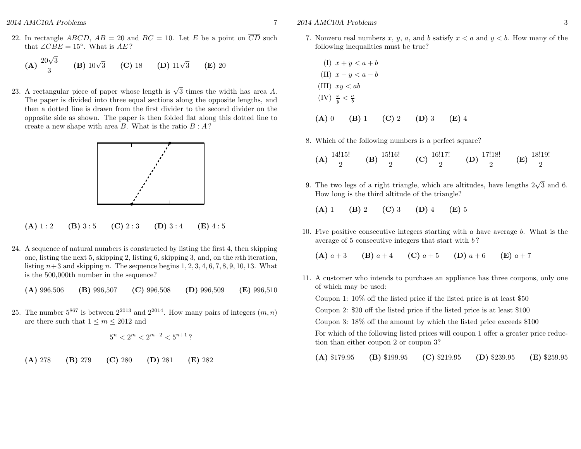22. In rectangle *ABCD*,  $AB = 20$  and  $BC = 10$ . Let *E* be a point on  $\overline{CD}$  such that  $\angle CBE = 15^\circ$ . What is  $AE$ ?

(**A**) 
$$
\frac{20\sqrt{3}}{3}
$$
 (**B**)  $10\sqrt{3}$  (**C**) 18 (**D**)  $11\sqrt{3}$  (**E**) 20

23. A rectangular piece of paper whose length is  $\sqrt{3}$  times the width has area *A*. The paper is divided into three equal sections along the opposite lengths, and then a dotted line is drawn from the first divider to the second divider on the opposite side as shown. The paper is then folded flat along this dotted line to create a new shape with area *B*. What is the ratio *B* : *A* ?



- (A)  $1:2$  (B)  $3:5$  (C)  $2:3$  (D)  $3:4$  (E)  $4:5$
- 24. A sequence of natural numbers is constructed by listing the first 4, then skipping one, listing the next 5, skipping 2, listing 6, skipping 3, and, on the *n*th iteration, listing  $n+3$  and skipping *n*. The sequence begins 1, 2, 3, 4, 6, 7, 8, 9, 10, 13. What is the 500*,*000th number in the sequence?

(A) 996*,*506 (B) 996*,*507 (C) 996*,*508 (D) 996*,*509 (E) 996*,*510

25. The number  $5^{867}$  is between  $2^{2013}$  and  $2^{2014}$ . How many pairs of integers  $(m, n)$ are there such that  $1 \leq m \leq 2012$  and

$$
5^n < 2^m < 2^{m+2} < 5^{n+1}?
$$

(A) 278 (B) 279 (C) 280 (D) 281 (E) 282

*2014 AMC10A Problems* 3

$$
(I) \quad x + y < a + b
$$
\n
$$
(II) \quad x - y < a - b
$$
\n
$$
(III) \quad xy < ab
$$
\n
$$
(IV) \quad \frac{x}{y} < \frac{a}{b}
$$
\n
$$
(A) \quad 0 \qquad (B) \quad 1 \qquad (C) \quad 2 \qquad (D) \quad 3 \qquad (E) \quad 4
$$

8. Which of the following numbers is a perfect square?

(A) 
$$
\frac{14!15!}{2}
$$
 (B)  $\frac{15!16!}{2}$  (C)  $\frac{16!17!}{2}$  (D)  $\frac{17!18!}{2}$  (E)  $\frac{18!19!}{2}$ 

9. The two legs of a right triangle, which are altitudes, have lengths  $2\sqrt{3}$  and 6. How long is the third altitude of the triangle?

(A) 1 (B) 2 (C) 3 (D) 4 (E) 5

10. Five positive consecutive integers starting with *a* have average *b*. What is the average of 5 consecutive integers that start with *b* ?

(A)  $a+3$  (B)  $a+4$  (C)  $a+5$  (D)  $a+6$  (E)  $a+7$ 

11. A customer who intends to purchase an appliance has three coupons, only one of which may be used: Coupon 1: 10% off the listed price if the listed price is at least \$50 Coupon 2: \$20 off the listed price if the listed price is at least \$100 Coupon 3: 18% off the amount by which the listed price exceeds \$100 For which of the following listed prices will coupon 1 offer a greater price reduc-

tion than either coupon 2 or coupon 3?

(A) \$179*.*95 (B) \$199*.*95 (C) \$219*.*95 (D) \$239*.*95 (E) \$259*.*95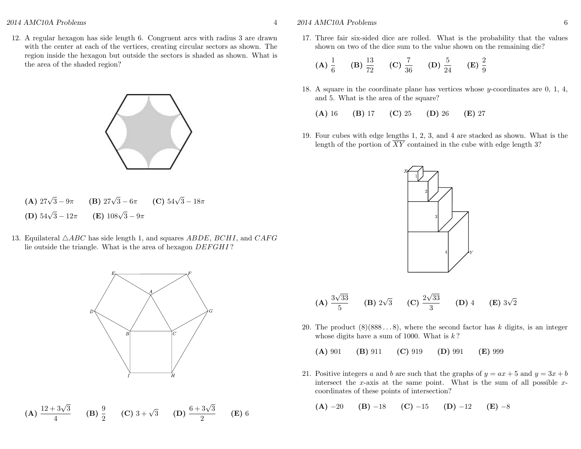12. A regular hexagon has side length 6. Congruent arcs with radius 3 are drawn with the center at each of the vertices, creating circular sectors as shown. The region inside the hexagon but outside the sectors is shaded as shown. What is the area of the shaded region?



- (A)  $27\sqrt{3} 9\pi$  (B)  $27\sqrt{3} 6\pi$  (C)  $54\sqrt{3} 18\pi$ (D)  $54\sqrt{3} - 12\pi$  $\sqrt{3} - 12\pi$  (**E**)  $108\sqrt{3} - 9\pi$
- 13. Equilateral *ABC* has side length 1, and squares *ABDE*, *BCHI*, and *CAF G* lie outside the triangle. What is the area of hexagon *DEF GHI* ?



**(A)** 
$$
\frac{12+3\sqrt{3}}{4}
$$
 **(B)**  $\frac{9}{2}$  **(C)**  $3+\sqrt{3}$  **(D)**  $\frac{6+3\sqrt{3}}{2}$  **(E)** 6

#### *2014 AMC10A Problems* 6

17. Three fair six-sided dice are rolled. What is the probability that the values shown on two of the dice sum to the value shown on the remaining die?

(A) 
$$
\frac{1}{6}
$$
 (B)  $\frac{13}{72}$  (C)  $\frac{7}{36}$  (D)  $\frac{5}{24}$  (E)  $\frac{2}{9}$ 

18. A square in the coordinate plane has vertices whose *y*-coordinates are 0, 1, 4, and 5. What is the area of the square?

(A) 16 (B) 17 (C) 25 (D) 26 (E) 27

19. Four cubes with edge lengths 1, 2, 3, and 4 are stacked as shown. What is the length of the portion of  $\overline{XY}$  contained in the cube with edge length 3?



(A) 
$$
\frac{3\sqrt{33}}{5}
$$
 (B)  $2\sqrt{3}$  (C)  $\frac{2\sqrt{33}}{3}$  (D) 4 (E)  $3\sqrt{2}$ 

20. The product  $(8)(888...8)$ , where the second factor has k digits, is an integer whose digits have a sum of 1000. What is *k* ?

(A) 901 (B) 911 (C) 919 (D) 991 (E) 999

21. Positive integers *a* and *b* are such that the graphs of  $y = ax + 5$  and  $y = 3x + b$ intersect the *x*-axis at the same point. What is the sum of all possible *x*coordinates of these points of intersection?

$$
(A) -20 \t (B) -18 \t (C) -15 \t (D) -12 \t (E) -8
$$